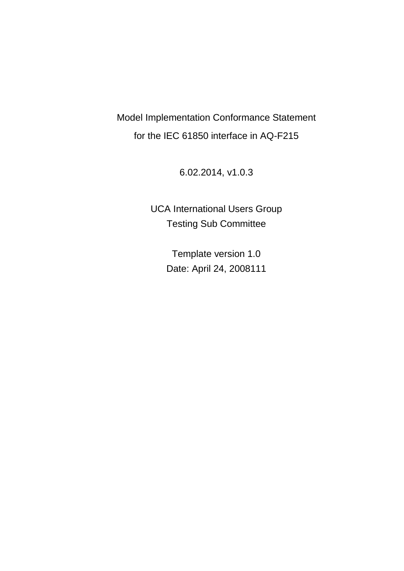Model Implementation Conformance Statement for the IEC 61850 interface in AQ-F215

6.02.2014, v1.0.3

UCA International Users Group Testing Sub Committee

> Template version 1.0 Date: April 24, 2008111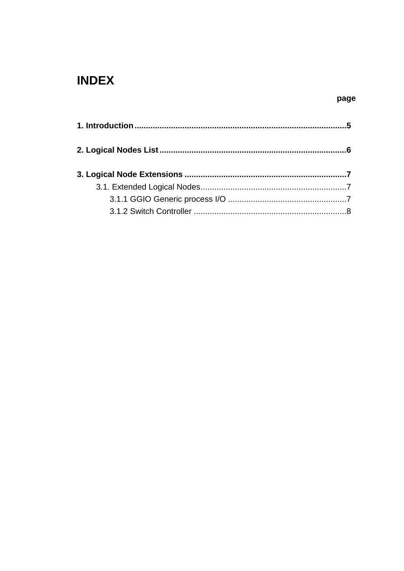## **INDEX**

#### page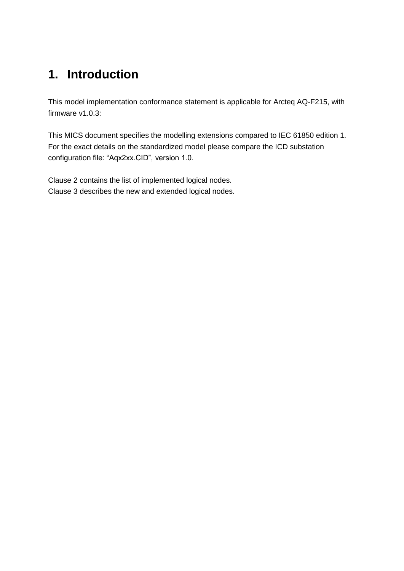## **1. Introduction**

This model implementation conformance statement is applicable for Arcteq AQ-F215, with firmware v1.0.3:

This MICS document specifies the modelling extensions compared to IEC 61850 edition 1. For the exact details on the standardized model please compare the ICD substation configuration file: "Aqx2xx.CID", version 1.0.

Clause 2 contains the list of implemented logical nodes. Clause 3 describes the new and extended logical nodes.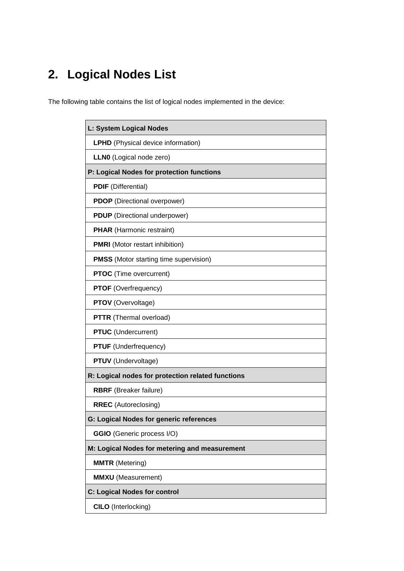# **2. Logical Nodes List**

The following table contains the list of logical nodes implemented in the device:

| L: System Logical Nodes                           |  |  |  |
|---------------------------------------------------|--|--|--|
| <b>LPHD</b> (Physical device information)         |  |  |  |
| LLNO (Logical node zero)                          |  |  |  |
| P: Logical Nodes for protection functions         |  |  |  |
| <b>PDIF</b> (Differential)                        |  |  |  |
| <b>PDOP</b> (Directional overpower)               |  |  |  |
| <b>PDUP</b> (Directional underpower)              |  |  |  |
| <b>PHAR</b> (Harmonic restraint)                  |  |  |  |
| <b>PMRI</b> (Motor restart inhibition)            |  |  |  |
| <b>PMSS</b> (Motor starting time supervision)     |  |  |  |
| <b>PTOC</b> (Time overcurrent)                    |  |  |  |
| <b>PTOF</b> (Overfrequency)                       |  |  |  |
| <b>PTOV</b> (Overvoltage)                         |  |  |  |
| <b>PTTR</b> (Thermal overload)                    |  |  |  |
| <b>PTUC</b> (Undercurrent)                        |  |  |  |
| <b>PTUF</b> (Underfrequency)                      |  |  |  |
| <b>PTUV</b> (Undervoltage)                        |  |  |  |
| R: Logical nodes for protection related functions |  |  |  |
| <b>RBRF</b> (Breaker failure)                     |  |  |  |
| <b>RREC</b> (Autoreclosing)                       |  |  |  |
| <b>G: Logical Nodes for generic references</b>    |  |  |  |
| GGIO (Generic process I/O)                        |  |  |  |
| M: Logical Nodes for metering and measurement     |  |  |  |
| <b>MMTR</b> (Metering)                            |  |  |  |
| <b>MMXU</b> (Measurement)                         |  |  |  |
| C: Logical Nodes for control                      |  |  |  |
| <b>CILO</b> (Interlocking)                        |  |  |  |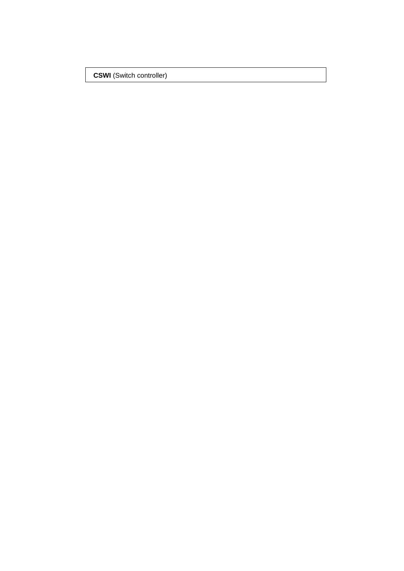**CSWI** (Switch controller)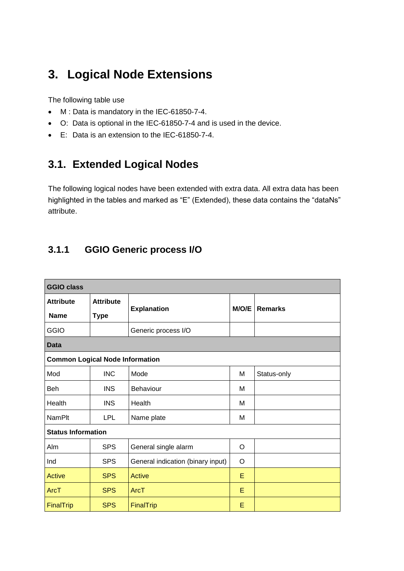## **3. Logical Node Extensions**

The following table use

- M : Data is mandatory in the IEC-61850-7-4.
- O: Data is optional in the IEC-61850-7-4 and is used in the device.
- E: Data is an extension to the IEC-61850-7-4.

### **3.1. Extended Logical Nodes**

The following logical nodes have been extended with extra data. All extra data has been highlighted in the tables and marked as "E" (Extended), these data contains the "dataNs" attribute.

#### **3.1.1 GGIO Generic process I/O**

| <b>GGIO class</b>                      |                  |                                   |              |                |  |
|----------------------------------------|------------------|-----------------------------------|--------------|----------------|--|
| <b>Attribute</b>                       | <b>Attribute</b> | <b>Explanation</b>                | <b>M/O/E</b> | <b>Remarks</b> |  |
| <b>Name</b>                            | <b>Type</b>      |                                   |              |                |  |
| <b>GGIO</b>                            |                  | Generic process I/O               |              |                |  |
| <b>Data</b>                            |                  |                                   |              |                |  |
| <b>Common Logical Node Information</b> |                  |                                   |              |                |  |
| Mod                                    | <b>INC</b>       | Mode                              | М            | Status-only    |  |
| Beh                                    | <b>INS</b>       | <b>Behaviour</b>                  | M            |                |  |
| Health                                 | <b>INS</b>       | Health                            | M            |                |  |
| <b>NamPlt</b>                          | <b>LPL</b>       | Name plate                        | M            |                |  |
| <b>Status Information</b>              |                  |                                   |              |                |  |
| Alm                                    | <b>SPS</b>       | General single alarm              | O            |                |  |
| Ind                                    | <b>SPS</b>       | General indication (binary input) | O            |                |  |
| <b>Active</b>                          | <b>SPS</b>       | <b>Active</b>                     | E            |                |  |
| ArcT                                   | <b>SPS</b>       | ArcT                              | E            |                |  |
| FinalTrip                              | <b>SPS</b>       | FinalTrip                         | E            |                |  |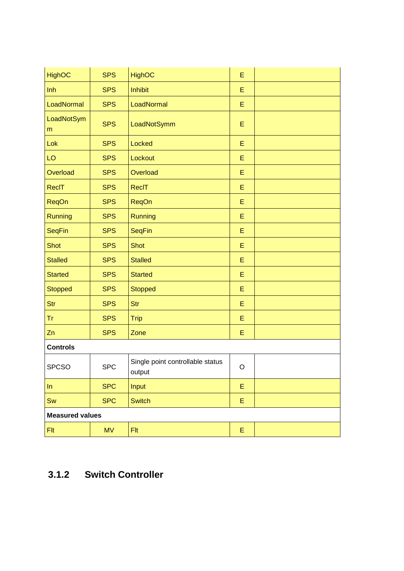| <b>HighOC</b>           | <b>SPS</b> | <b>HighOC</b>                              | E           |  |
|-------------------------|------------|--------------------------------------------|-------------|--|
| Inh                     | <b>SPS</b> | <b>Inhibit</b>                             | E           |  |
| LoadNormal              | <b>SPS</b> | LoadNormal                                 | E           |  |
| LoadNotSym<br>${\sf m}$ | <b>SPS</b> | LoadNotSymm                                | E           |  |
| Lok                     | <b>SPS</b> | Locked                                     | E           |  |
| LO                      | <b>SPS</b> | Lockout                                    | E           |  |
| Overload                | <b>SPS</b> | Overload                                   | E           |  |
| ReclT                   | <b>SPS</b> | ReclT                                      | E           |  |
| <b>ReqOn</b>            | <b>SPS</b> | <b>ReqOn</b>                               | E           |  |
| Running                 | <b>SPS</b> | Running                                    | E           |  |
| <b>SeqFin</b>           | <b>SPS</b> | <b>SeqFin</b>                              | E           |  |
| <b>Shot</b>             | <b>SPS</b> | <b>Shot</b>                                | E           |  |
| <b>Stalled</b>          | <b>SPS</b> | <b>Stalled</b>                             | E           |  |
| <b>Started</b>          | <b>SPS</b> | <b>Started</b>                             | E           |  |
| <b>Stopped</b>          | <b>SPS</b> | <b>Stopped</b>                             | E           |  |
| <b>Str</b>              | <b>SPS</b> | <b>Str</b>                                 | E           |  |
| Tr                      | <b>SPS</b> | <b>Trip</b>                                | E           |  |
| Zn                      | <b>SPS</b> | Zone                                       | E           |  |
| <b>Controls</b>         |            |                                            |             |  |
| <b>SPCSO</b>            | <b>SPC</b> | Single point controllable status<br>output | $\mathsf O$ |  |
| ln                      | <b>SPC</b> | Input                                      | E           |  |
| Sw                      | <b>SPC</b> | <b>Switch</b>                              | E           |  |
| <b>Measured values</b>  |            |                                            |             |  |
| Flt                     | <b>MV</b>  | Flt.                                       | E           |  |

#### **3.1.2 Switch Controller**